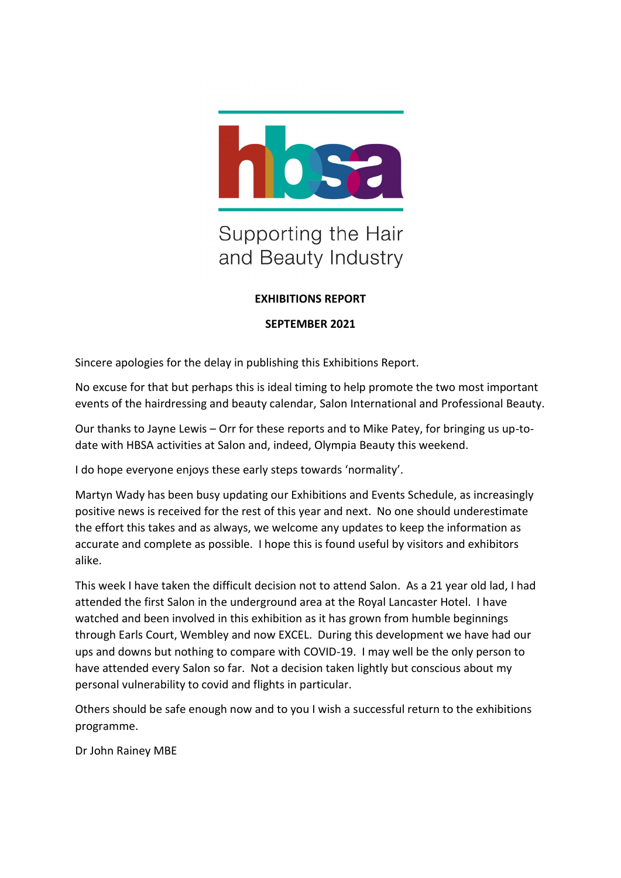

# Supporting the Hair and Beauty Industry

# **EXHIBITIONS REPORT**

#### **SEPTEMBER 2021**

Sincere apologies for the delay in publishing this Exhibitions Report.

No excuse for that but perhaps this is ideal timing to help promote the two most important events of the hairdressing and beauty calendar, Salon International and Professional Beauty.

Our thanks to Jayne Lewis – Orr for these reports and to Mike Patey, for bringing us up-todate with HBSA activities at Salon and, indeed, Olympia Beauty this weekend.

I do hope everyone enjoys these early steps towards 'normality'.

Martyn Wady has been busy updating our Exhibitions and Events Schedule, as increasingly positive news is received for the rest of this year and next. No one should underestimate the effort this takes and as always, we welcome any updates to keep the information as accurate and complete as possible. I hope this is found useful by visitors and exhibitors alike.

This week I have taken the difficult decision not to attend Salon. As a 21 year old lad, I had attended the first Salon in the underground area at the Royal Lancaster Hotel. I have watched and been involved in this exhibition as it has grown from humble beginnings through Earls Court, Wembley and now EXCEL. During this development we have had our ups and downs but nothing to compare with COVID-19. I may well be the only person to have attended every Salon so far. Not a decision taken lightly but conscious about my personal vulnerability to covid and flights in particular.

Others should be safe enough now and to you I wish a successful return to the exhibitions programme.

Dr John Rainey MBE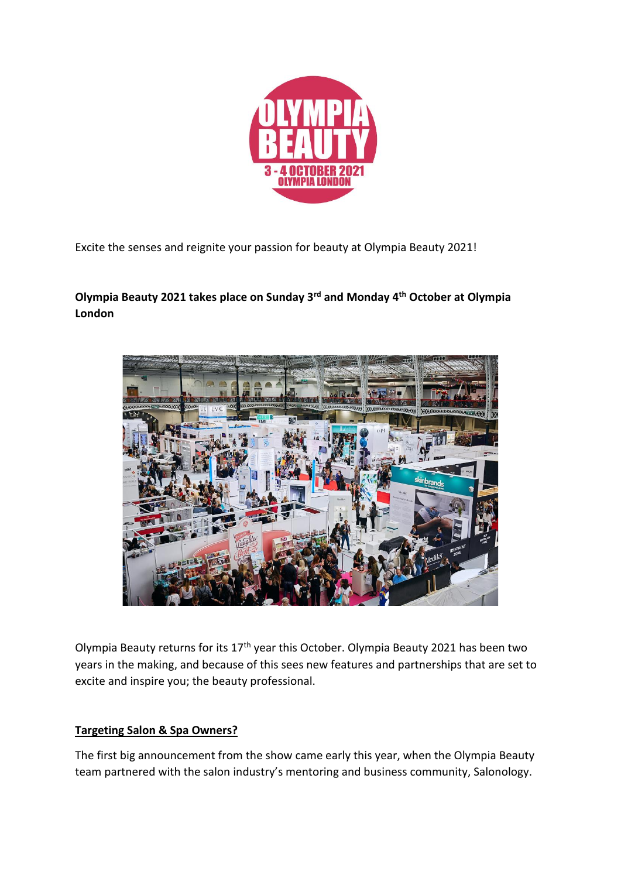

Excite the senses and reignite your passion for beauty at Olympia Beauty 2021!

**Olympia Beauty 2021 takes place on Sunday 3rd and Monday 4th October at Olympia London**



Olympia Beauty returns for its  $17<sup>th</sup>$  year this October. Olympia Beauty 2021 has been two years in the making, and because of this sees new features and partnerships that are set to excite and inspire you; the beauty professional.

# **Targeting Salon & Spa Owners?**

The first big announcement from the show came early this year, when the Olympia Beauty team partnered with the salon industry's mentoring and business community, Salonology.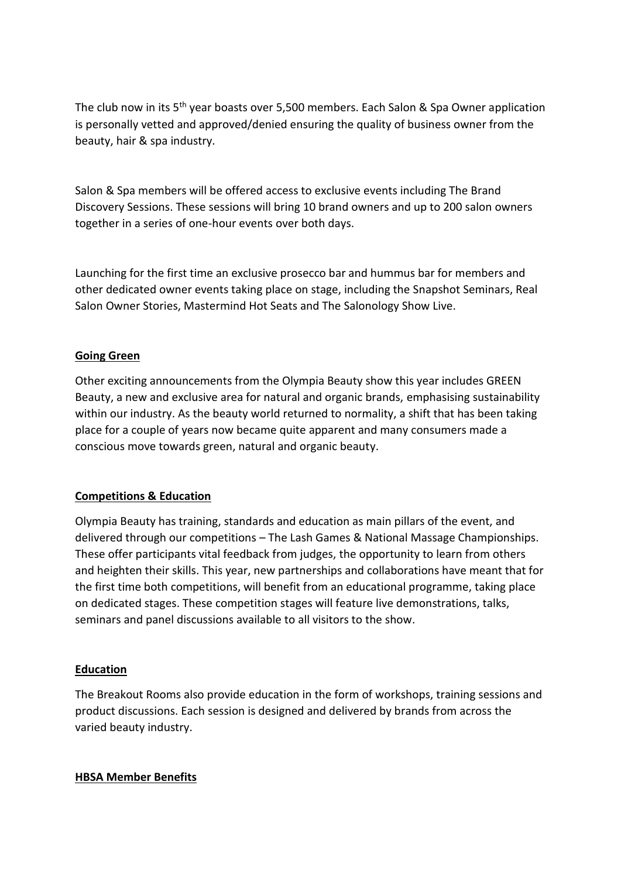The club now in its 5<sup>th</sup> year boasts over 5,500 members. Each Salon & Spa Owner application is personally vetted and approved/denied ensuring the quality of business owner from the beauty, hair & spa industry.

Salon & Spa members will be offered access to exclusive events including The Brand Discovery Sessions. These sessions will bring 10 brand owners and up to 200 salon owners together in a series of one-hour events over both days.

Launching for the first time an exclusive prosecco bar and hummus bar for members and other dedicated owner events taking place on stage, including the Snapshot Seminars, Real Salon Owner Stories, Mastermind Hot Seats and The Salonology Show Live.

## **Going Green**

Other exciting announcements from the Olympia Beauty show this year includes GREEN Beauty, a new and exclusive area for natural and organic brands, emphasising sustainability within our industry. As the beauty world returned to normality, a shift that has been taking place for a couple of years now became quite apparent and many consumers made a conscious move towards green, natural and organic beauty.

#### **Competitions & Education**

Olympia Beauty has training, standards and education as main pillars of the event, and delivered through our competitions – The Lash Games & National Massage Championships. These offer participants vital feedback from judges, the opportunity to learn from others and heighten their skills. This year, new partnerships and collaborations have meant that for the first time both competitions, will benefit from an educational programme, taking place on dedicated stages. These competition stages will feature live demonstrations, talks, seminars and panel discussions available to all visitors to the show.

#### **Education**

The Breakout Rooms also provide education in the form of workshops, training sessions and product discussions. Each session is designed and delivered by brands from across the varied beauty industry.

#### **HBSA Member Benefits**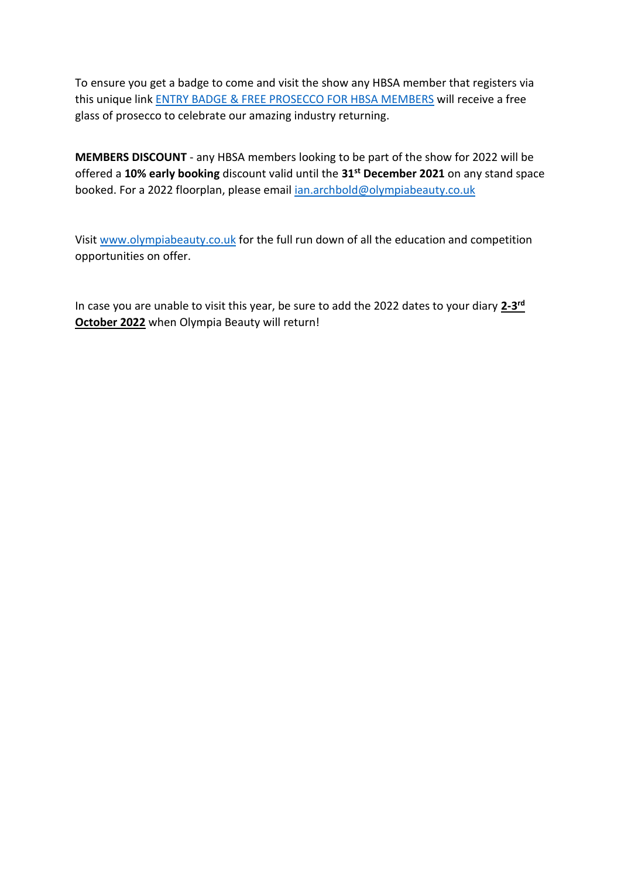To ensure you get a badge to come and visit the show any HBSA member that registers via this unique link [ENTRY BADGE & FREE PROSECCO FOR HBSA MEMBERS](https://eventdata.uk/Forms/Form.aspx?FormRef=OlyA0Visitor&TrackingCode=HBSA) will receive a free glass of prosecco to celebrate our amazing industry returning.

**MEMBERS DISCOUNT** - any HBSA members looking to be part of the show for 2022 will be offered a **10% early booking** discount valid until the **31st December 2021** on any stand space booked. For a 2022 floorplan, please email [ian.archbold@olympiabeauty.co.uk](mailto:ian.archbold@olympiabeauty.co.uk)

Visi[t www.olympiabeauty.co.uk](http://www.olympiabeauty.co.uk/) for the full run down of all the education and competition opportunities on offer.

In case you are unable to visit this year, be sure to add the 2022 dates to your diary **2-3 rd October 2022** when Olympia Beauty will return!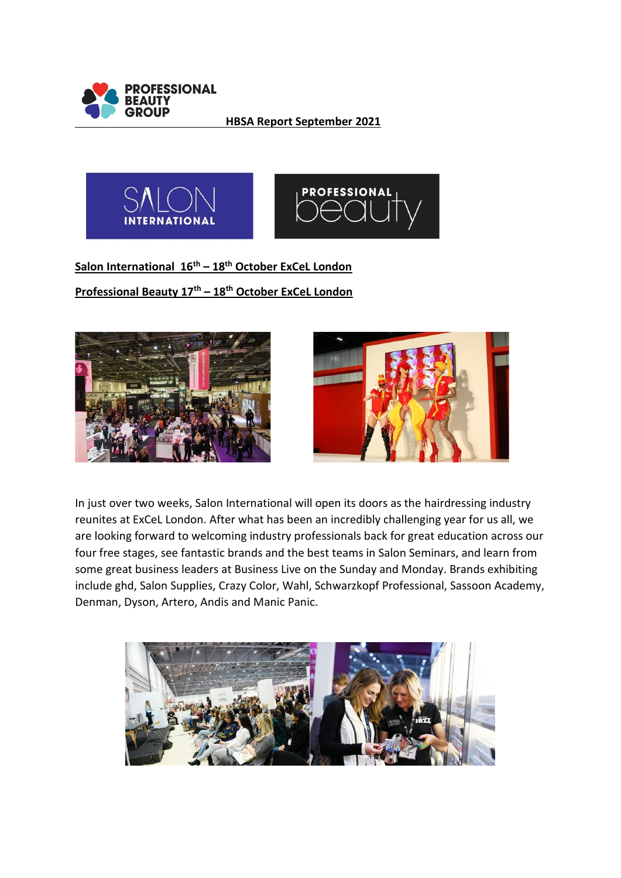

**HBSA Report September 2021**



**Salon International 16th – 18th October ExCeL London Professional Beauty 17th – 18th October ExCeL London**





In just over two weeks, Salon International will open its doors as the hairdressing industry reunites at ExCeL London. After what has been an incredibly challenging year for us all, we are looking forward to welcoming industry professionals back for great education across our four free stages, see fantastic brands and the best teams in Salon Seminars, and learn from some great business leaders at Business Live on the Sunday and Monday. Brands exhibiting include ghd, Salon Supplies, Crazy Color, Wahl, Schwarzkopf Professional, Sassoon Academy, Denman, Dyson, Artero, Andis and Manic Panic.

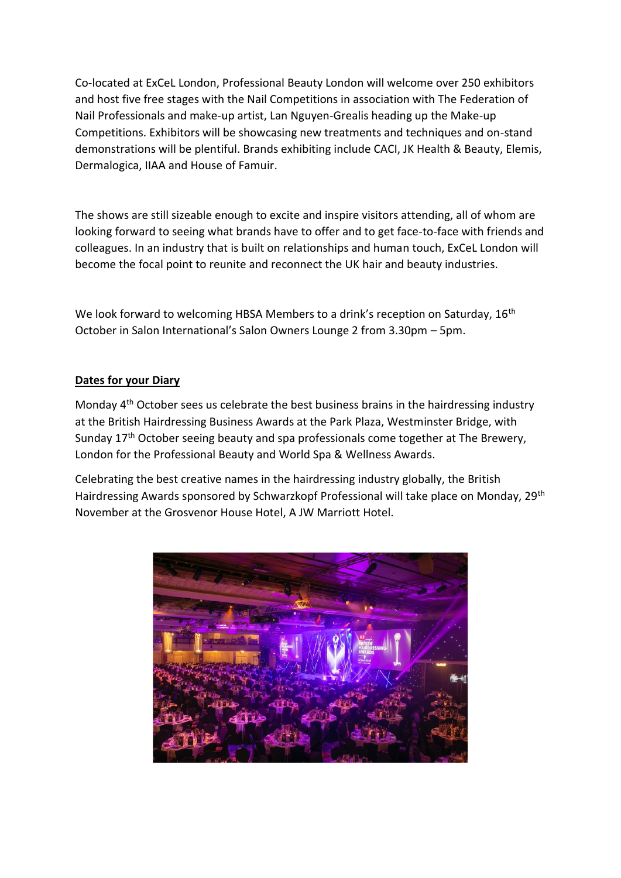Co-located at ExCeL London, Professional Beauty London will welcome over 250 exhibitors and host five free stages with the Nail Competitions in association with The Federation of Nail Professionals and make-up artist, Lan Nguyen-Grealis heading up the Make-up Competitions. Exhibitors will be showcasing new treatments and techniques and on-stand demonstrations will be plentiful. Brands exhibiting include CACI, JK Health & Beauty, Elemis, Dermalogica, IIAA and House of Famuir.

The shows are still sizeable enough to excite and inspire visitors attending, all of whom are looking forward to seeing what brands have to offer and to get face-to-face with friends and colleagues. In an industry that is built on relationships and human touch, ExCeL London will become the focal point to reunite and reconnect the UK hair and beauty industries.

We look forward to welcoming HBSA Members to a drink's reception on Saturday, 16<sup>th</sup> October in Salon International's Salon Owners Lounge 2 from 3.30pm – 5pm.

#### **Dates for your Diary**

Monday 4th October sees us celebrate the best business brains in the hairdressing industry at the British Hairdressing Business Awards at the Park Plaza, Westminster Bridge, with Sunday 17<sup>th</sup> October seeing beauty and spa professionals come together at The Brewery, London for the Professional Beauty and World Spa & Wellness Awards.

Celebrating the best creative names in the hairdressing industry globally, the British Hairdressing Awards sponsored by Schwarzkopf Professional will take place on Monday, 29th November at the Grosvenor House Hotel, A JW Marriott Hotel.

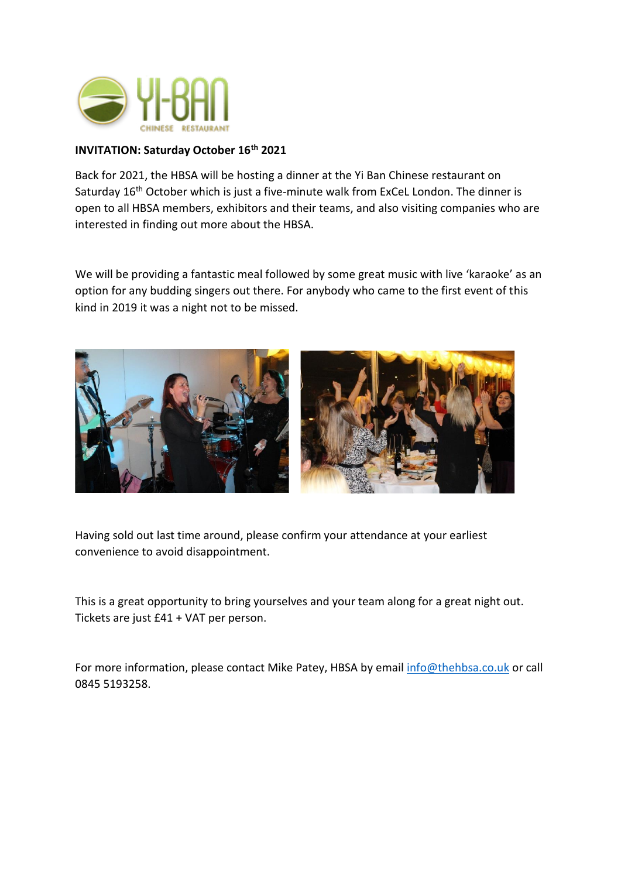

### **INVITATION: Saturday October 16th 2021**

Back for 2021, the HBSA will be hosting a dinner at the Yi Ban Chinese restaurant on Saturday 16<sup>th</sup> October which is just a five-minute walk from ExCeL London. The dinner is open to all HBSA members, exhibitors and their teams, and also visiting companies who are interested in finding out more about the HBSA.

We will be providing a fantastic meal followed by some great music with live 'karaoke' as an option for any budding singers out there. For anybody who came to the first event of this kind in 2019 it was a night not to be missed.



Having sold out last time around, please confirm your attendance at your earliest convenience to avoid disappointment.

This is a great opportunity to bring yourselves and your team along for a great night out. Tickets are just £41 + VAT per person.

For more information, please contact Mike Patey, HBSA by email [info@thehbsa.co.uk](mailto:info@thehbsa.co.uk) or call 0845 5193258.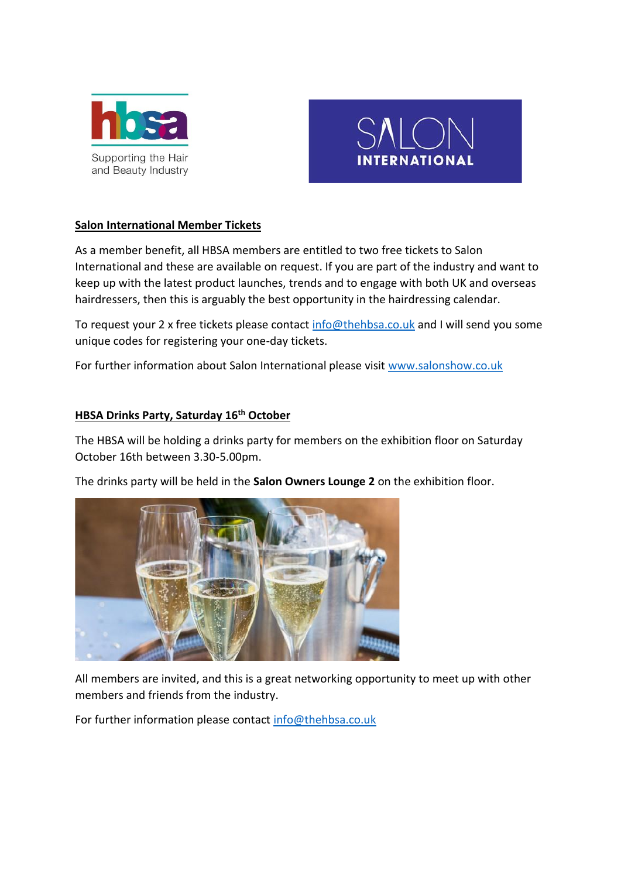



#### **Salon International Member Tickets**

As a member benefit, all HBSA members are entitled to two free tickets to Salon International and these are available on request. If you are part of the industry and want to keep up with the latest product launches, trends and to engage with both UK and overseas hairdressers, then this is arguably the best opportunity in the hairdressing calendar.

To request your 2 x free tickets please contact [info@thehbsa.co.uk](mailto:info@thehbsa.co.uk) and I will send you some unique codes for registering your one-day tickets.

For further information about Salon International please visit [www.salonshow.co.uk](http://www.salonshow.co.uk/)

#### **HBSA Drinks Party, Saturday 16th October**

The HBSA will be holding a drinks party for members on the exhibition floor on Saturday October 16th between 3.30-5.00pm.

The drinks party will be held in the **Salon Owners Lounge 2** on the exhibition floor.



All members are invited, and this is a great networking opportunity to meet up with other members and friends from the industry.

For further information please contact [info@thehbsa.co.uk](mailto:info@thehbsa.co.uk)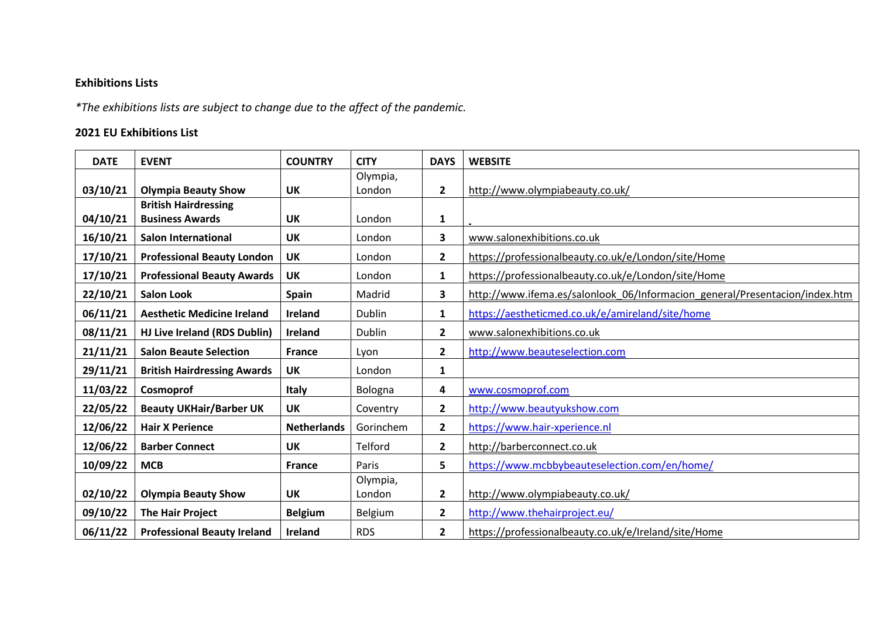# **Exhibitions Lists**

*\*The exhibitions lists are subject to change due to the affect of the pandemic.* 

# **2021 EU Exhibitions List**

| <b>DATE</b> | <b>EVENT</b>                       | <b>COUNTRY</b>     | <b>CITY</b>   | <b>DAYS</b>    | <b>WEBSITE</b>                                                              |
|-------------|------------------------------------|--------------------|---------------|----------------|-----------------------------------------------------------------------------|
|             |                                    |                    | Olympia,      |                |                                                                             |
| 03/10/21    | <b>Olympia Beauty Show</b>         | <b>UK</b>          | London        | $\overline{2}$ | http://www.olympiabeauty.co.uk/                                             |
|             | <b>British Hairdressing</b>        |                    |               |                |                                                                             |
| 04/10/21    | <b>Business Awards</b>             | <b>UK</b>          | London        | $\mathbf{1}$   |                                                                             |
| 16/10/21    | <b>Salon International</b>         | <b>UK</b>          | London        | 3              | www.salonexhibitions.co.uk                                                  |
| 17/10/21    | <b>Professional Beauty London</b>  | <b>UK</b>          | London        | $\overline{2}$ | https://professionalbeauty.co.uk/e/London/site/Home                         |
| 17/10/21    | <b>Professional Beauty Awards</b>  | <b>UK</b>          | London        | $\mathbf{1}$   | https://professionalbeauty.co.uk/e/London/site/Home                         |
| 22/10/21    | <b>Salon Look</b>                  | <b>Spain</b>       | Madrid        | 3              | http://www.ifema.es/salonlook 06/Informacion general/Presentacion/index.htm |
| 06/11/21    | <b>Aesthetic Medicine Ireland</b>  | <b>Ireland</b>     | <b>Dublin</b> | $\mathbf{1}$   | https://aestheticmed.co.uk/e/amireland/site/home                            |
| 08/11/21    | HJ Live Ireland (RDS Dublin)       | <b>Ireland</b>     | Dublin        | $\mathbf{2}$   | www.salonexhibitions.co.uk                                                  |
| 21/11/21    | <b>Salon Beaute Selection</b>      | <b>France</b>      | Lyon          | $\overline{2}$ | http://www.beauteselection.com                                              |
| 29/11/21    | <b>British Hairdressing Awards</b> | UK                 | London        | 1              |                                                                             |
| 11/03/22    | Cosmoprof                          | <b>Italy</b>       | Bologna       | 4              | www.cosmoprof.com                                                           |
| 22/05/22    | <b>Beauty UKHair/Barber UK</b>     | <b>UK</b>          | Coventry      | $\overline{2}$ | http://www.beautyukshow.com                                                 |
| 12/06/22    | <b>Hair X Perience</b>             | <b>Netherlands</b> | Gorinchem     | $\overline{2}$ | https://www.hair-xperience.nl                                               |
| 12/06/22    | <b>Barber Connect</b>              | <b>UK</b>          | Telford       | $\overline{2}$ | http://barberconnect.co.uk                                                  |
| 10/09/22    | <b>MCB</b>                         | <b>France</b>      | Paris         | 5              | https://www.mcbbybeauteselection.com/en/home/                               |
|             |                                    |                    | Olympia,      |                |                                                                             |
| 02/10/22    | <b>Olympia Beauty Show</b>         | UK                 | London        | $\overline{2}$ | http://www.olympiabeauty.co.uk/                                             |
| 09/10/22    | <b>The Hair Project</b>            | <b>Belgium</b>     | Belgium       | $\overline{2}$ | http://www.thehairproject.eu/                                               |
| 06/11/22    | <b>Professional Beauty Ireland</b> | <b>Ireland</b>     | <b>RDS</b>    | $\overline{2}$ | https://professionalbeauty.co.uk/e/Ireland/site/Home                        |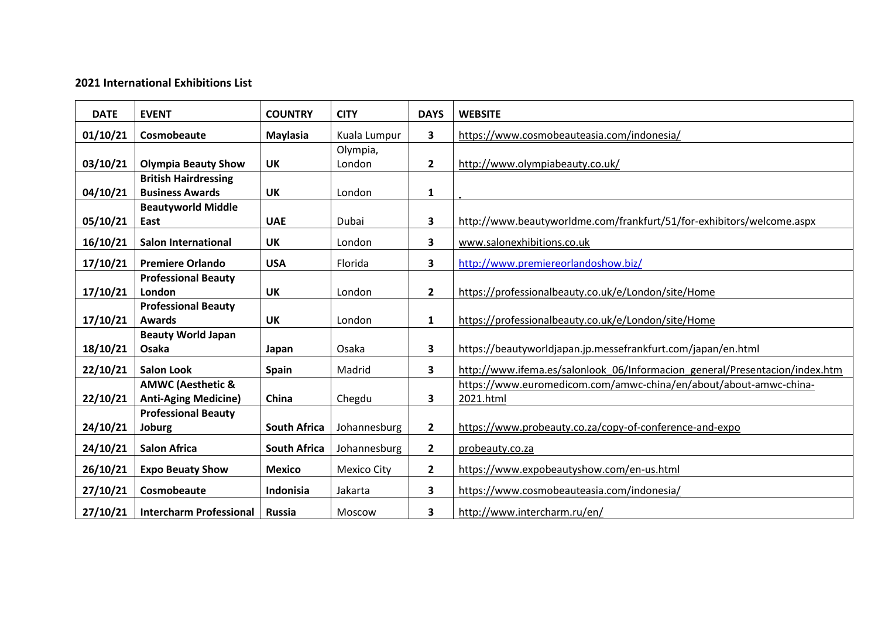## **2021 International Exhibitions List**

| <b>DATE</b> | <b>EVENT</b>                 | <b>COUNTRY</b>      | <b>CITY</b>        | <b>DAYS</b>             | <b>WEBSITE</b>                                                              |
|-------------|------------------------------|---------------------|--------------------|-------------------------|-----------------------------------------------------------------------------|
| 01/10/21    | Cosmobeaute                  | <b>Maylasia</b>     | Kuala Lumpur       | $\overline{\mathbf{3}}$ | https://www.cosmobeauteasia.com/indonesia/                                  |
|             |                              |                     | Olympia,           |                         |                                                                             |
| 03/10/21    | <b>Olympia Beauty Show</b>   | <b>UK</b>           | London             | $\overline{2}$          | http://www.olympiabeauty.co.uk/                                             |
|             | <b>British Hairdressing</b>  |                     |                    |                         |                                                                             |
| 04/10/21    | <b>Business Awards</b>       | <b>UK</b>           | London             | 1                       |                                                                             |
|             | <b>Beautyworld Middle</b>    |                     |                    |                         |                                                                             |
| 05/10/21    | East                         | <b>UAE</b>          | Dubai              | 3                       | http://www.beautyworldme.com/frankfurt/51/for-exhibitors/welcome.aspx       |
| 16/10/21    | <b>Salon International</b>   | <b>UK</b>           | London             | $\overline{\mathbf{3}}$ | www.salonexhibitions.co.uk                                                  |
| 17/10/21    | <b>Premiere Orlando</b>      | <b>USA</b>          | Florida            | 3                       | http://www.premiereorlandoshow.biz/                                         |
|             | <b>Professional Beauty</b>   |                     |                    |                         |                                                                             |
| 17/10/21    | London                       | <b>UK</b>           | London             | $\overline{2}$          | https://professionalbeauty.co.uk/e/London/site/Home                         |
|             | <b>Professional Beauty</b>   |                     |                    |                         |                                                                             |
| 17/10/21    | <b>Awards</b>                | <b>UK</b>           | London             | $\mathbf{1}$            | https://professionalbeauty.co.uk/e/London/site/Home                         |
|             | <b>Beauty World Japan</b>    |                     |                    |                         |                                                                             |
| 18/10/21    | Osaka                        | Japan               | Osaka              | $\overline{\mathbf{3}}$ | https://beautyworldjapan.jp.messefrankfurt.com/japan/en.html                |
| 22/10/21    | <b>Salon Look</b>            | <b>Spain</b>        | Madrid             | 3                       | http://www.ifema.es/salonlook_06/Informacion_general/Presentacion/index.htm |
|             | <b>AMWC (Aesthetic &amp;</b> |                     |                    |                         | https://www.euromedicom.com/amwc-china/en/about/about-amwc-china-           |
| 22/10/21    | <b>Anti-Aging Medicine)</b>  | China               | Chegdu             | 3                       | 2021.html                                                                   |
|             | <b>Professional Beauty</b>   |                     |                    |                         |                                                                             |
| 24/10/21    | Joburg                       | <b>South Africa</b> | Johannesburg       | $\overline{2}$          | https://www.probeauty.co.za/copy-of-conference-and-expo                     |
| 24/10/21    | <b>Salon Africa</b>          | <b>South Africa</b> | Johannesburg       | $\overline{2}$          | probeauty.co.za                                                             |
| 26/10/21    | <b>Expo Beuaty Show</b>      | <b>Mexico</b>       | <b>Mexico City</b> | $\overline{2}$          | https://www.expobeautyshow.com/en-us.html                                   |
| 27/10/21    | Cosmobeaute                  | Indonisia           | Jakarta            | 3                       | https://www.cosmobeauteasia.com/indonesia/                                  |
| 27/10/21    | Intercharm Professional      | <b>Russia</b>       | Moscow             | 3                       | http://www.intercharm.ru/en/                                                |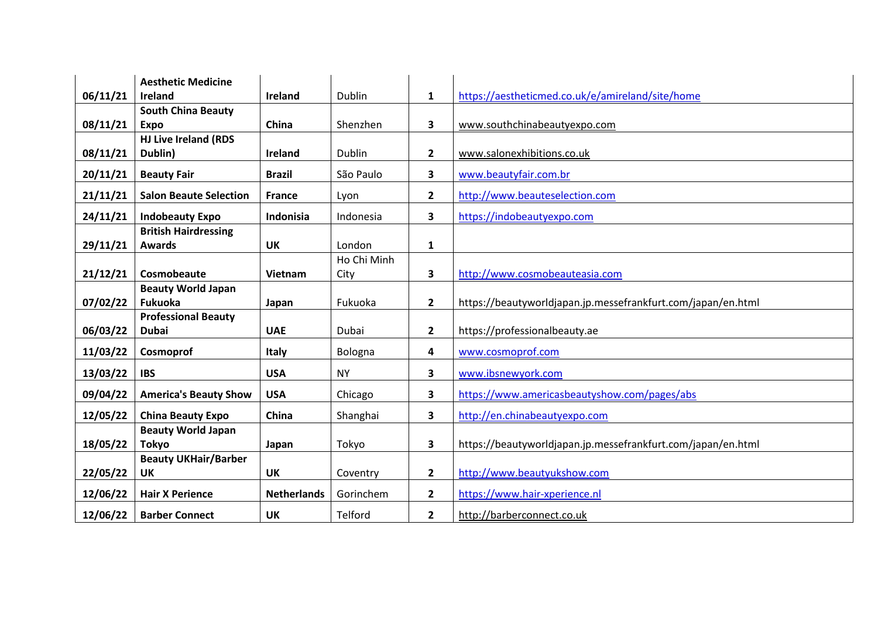|          | <b>Aesthetic Medicine</b>     |                    |             |                |                                                              |
|----------|-------------------------------|--------------------|-------------|----------------|--------------------------------------------------------------|
| 06/11/21 | <b>Ireland</b>                | Ireland            | Dublin      | $\mathbf{1}$   | https://aestheticmed.co.uk/e/amireland/site/home             |
|          | <b>South China Beauty</b>     |                    |             |                |                                                              |
| 08/11/21 | <b>Expo</b>                   | China              | Shenzhen    | 3              | www.southchinabeautyexpo.com                                 |
|          | <b>HJ Live Ireland (RDS</b>   |                    |             |                |                                                              |
| 08/11/21 | Dublin)                       | Ireland            | Dublin      | $\mathbf{2}$   | www.salonexhibitions.co.uk                                   |
| 20/11/21 | <b>Beauty Fair</b>            | <b>Brazil</b>      | São Paulo   | 3              | www.beautyfair.com.br                                        |
| 21/11/21 | <b>Salon Beaute Selection</b> | <b>France</b>      | Lyon        | $\mathbf{2}$   | http://www.beauteselection.com                               |
| 24/11/21 | <b>Indobeauty Expo</b>        | Indonisia          | Indonesia   | 3              | https://indobeautyexpo.com                                   |
|          | <b>British Hairdressing</b>   |                    |             |                |                                                              |
| 29/11/21 | <b>Awards</b>                 | <b>UK</b>          | London      | $\mathbf{1}$   |                                                              |
|          |                               |                    | Ho Chi Minh |                |                                                              |
| 21/12/21 | Cosmobeaute                   | Vietnam            | City        | 3              | http://www.cosmobeauteasia.com                               |
|          | <b>Beauty World Japan</b>     |                    |             |                |                                                              |
| 07/02/22 | Fukuoka                       | Japan              | Fukuoka     | $\mathbf{2}$   | https://beautyworldjapan.jp.messefrankfurt.com/japan/en.html |
|          | <b>Professional Beauty</b>    |                    |             |                |                                                              |
| 06/03/22 | <b>Dubai</b>                  | <b>UAE</b>         | Dubai       | $\mathbf{2}$   | https://professionalbeauty.ae                                |
| 11/03/22 | Cosmoprof                     | <b>Italy</b>       | Bologna     | 4              | www.cosmoprof.com                                            |
| 13/03/22 | <b>IBS</b>                    | <b>USA</b>         | <b>NY</b>   | 3              | www.ibsnewyork.com                                           |
| 09/04/22 | <b>America's Beauty Show</b>  | <b>USA</b>         | Chicago     | 3              | https://www.americasbeautyshow.com/pages/abs                 |
| 12/05/22 | <b>China Beauty Expo</b>      | China              | Shanghai    | 3              | http://en.chinabeautyexpo.com                                |
|          | <b>Beauty World Japan</b>     |                    |             |                |                                                              |
| 18/05/22 | <b>Tokyo</b>                  | Japan              | Tokyo       | 3              | https://beautyworldjapan.jp.messefrankfurt.com/japan/en.html |
|          | <b>Beauty UKHair/Barber</b>   |                    |             |                |                                                              |
| 22/05/22 | UK                            | <b>UK</b>          | Coventry    | $\overline{2}$ | http://www.beautyukshow.com                                  |
| 12/06/22 | <b>Hair X Perience</b>        | <b>Netherlands</b> | Gorinchem   | $\overline{2}$ | https://www.hair-xperience.nl                                |
| 12/06/22 | <b>Barber Connect</b>         | <b>UK</b>          | Telford     | $\overline{2}$ | http://barberconnect.co.uk                                   |